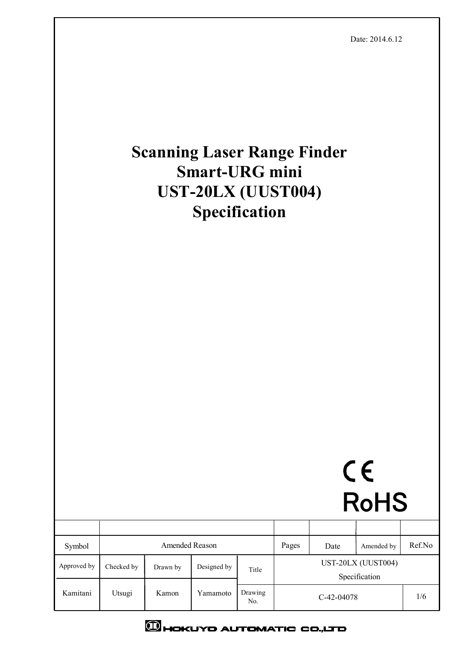

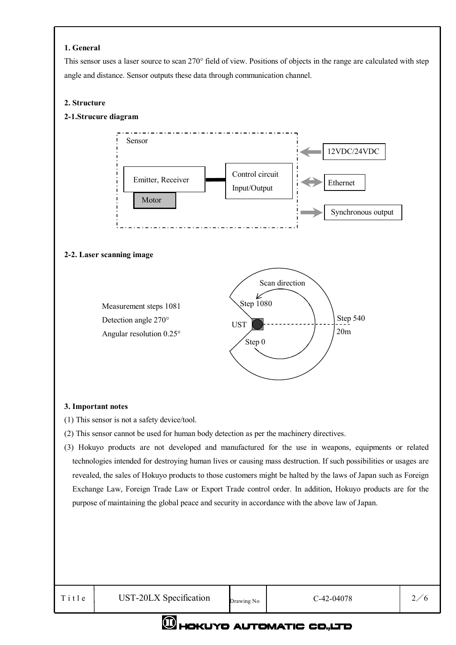#### **1. General**

This sensor uses a laser source to scan 270° field of view. Positions of objects in the range are calculated with step angle and distance. Sensor outputs these data through communication channel.

#### **2. Structure**

#### **2-1.Strucure diagram**



#### **3. Important notes**

- (1) This sensor is not a safety device/tool.
- (2) This sensor cannot be used for human body detection as per the machinery directives.
- (3) Hokuyo products are not developed and manufactured for the use in weapons, equipments or related technologies intended for destroying human lives or causing mass destruction. If such possibilities or usages are revealed, the sales of Hokuyo products to those customers might be halted by the laws of Japan such as Foreign Exchange Law, Foreign Trade Law or Export Trade control order. In addition, Hokuyo products are for the purpose of maintaining the global peace and security in accordance with the above law of Japan.

## **OHOKUYO AUTOMATIC CO.,LTD**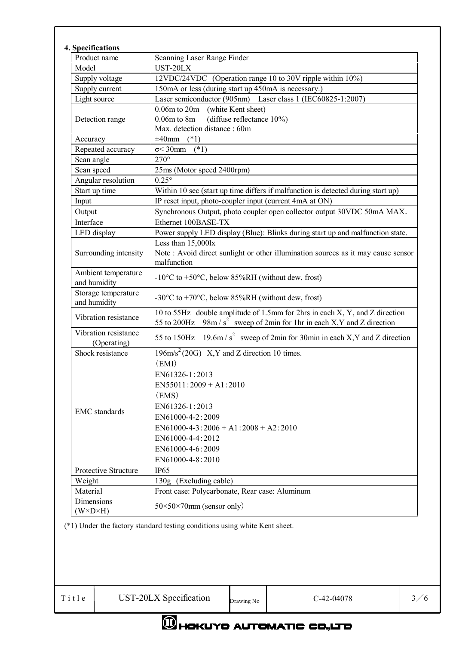| Product name                        | Scanning Laser Range Finder                                                                                                                               |
|-------------------------------------|-----------------------------------------------------------------------------------------------------------------------------------------------------------|
| Model                               | UST-20LX                                                                                                                                                  |
| Supply voltage                      | 12VDC/24VDC (Operation range 10 to 30V ripple within 10%)                                                                                                 |
| Supply current                      | 150mA or less (during start up 450mA is necessary.)                                                                                                       |
| Light source                        | Laser semiconductor (905nm) Laser class 1 (IEC60825-1:2007)                                                                                               |
| Detection range                     | 0.06m to 20m (white Kent sheet)                                                                                                                           |
|                                     | (diffuse reflectance 10%)<br>0.06m to 8m                                                                                                                  |
|                                     | Max. detection distance: 60m                                                                                                                              |
| Accuracy                            | $\pm 40$ mm<br>$(*1)$                                                                                                                                     |
| Repeated accuracy                   | $\sigma$ < 30mm (*1)                                                                                                                                      |
| Scan angle                          | $270^\circ$                                                                                                                                               |
| Scan speed                          | 25ms (Motor speed 2400rpm)                                                                                                                                |
| Angular resolution                  | $0.25^{\circ}$                                                                                                                                            |
| Start up time                       | Within 10 sec (start up time differs if malfunction is detected during start up)                                                                          |
| Input                               | IP reset input, photo-coupler input (current 4mA at ON)                                                                                                   |
| Output                              | Synchronous Output, photo coupler open collector output 30VDC 50mA MAX.                                                                                   |
| Interface                           | Ethernet 100BASE-TX                                                                                                                                       |
| LED display                         | Power supply LED display (Blue): Blinks during start up and malfunction state.                                                                            |
|                                     | Less than 15,000lx                                                                                                                                        |
| Surrounding intensity               | Note: Avoid direct sunlight or other illumination sources as it may cause sensor                                                                          |
|                                     | malfunction                                                                                                                                               |
| Ambient temperature<br>and humidity | -10 $\rm{^{\circ}C}$ to +50 $\rm{^{\circ}C}$ , below 85%RH (without dew, frost)                                                                           |
| Storage temperature<br>and humidity | -30 $\rm{^{\circ}C}$ to +70 $\rm{^{\circ}C}$ , below 85%RH (without dew, frost)                                                                           |
| Vibration resistance                | 10 to 55Hz double amplitude of 1.5mm for 2hrs in each X, Y, and Z direction<br>55 to 200Hz 98m / $s^2$ sweep of 2min for 1hr in each X, Y and Z direction |
| Vibration resistance<br>(Operating) | 55 to 150Hz 19.6m/ $s^2$ sweep of 2min for 30min in each X, Y and Z direction                                                                             |
| Shock resistance                    | $196 \text{m/s}^2 (20 \text{G})$ X, Y and Z direction 10 times.                                                                                           |
|                                     | (EMI)                                                                                                                                                     |
|                                     | EN61326-1:2013                                                                                                                                            |
|                                     | $EN55011:2009 + A1:2010$                                                                                                                                  |
|                                     | (EMS)                                                                                                                                                     |
|                                     | EN61326-1:2013                                                                                                                                            |
| <b>EMC</b> standards                | EN61000-4-2:2009                                                                                                                                          |
|                                     | $EN61000-4-3:2006+A1:2008+A2:2010$                                                                                                                        |
|                                     | EN61000-4-4:2012                                                                                                                                          |
|                                     | EN61000-4-6:2009                                                                                                                                          |
|                                     | EN61000-4-8:2010                                                                                                                                          |
| Protective Structure                | <b>IP65</b>                                                                                                                                               |
|                                     |                                                                                                                                                           |
| Weight                              | 130g (Excluding cable)                                                                                                                                    |
| Material                            | Front case: Polycarbonate, Rear case: Aluminum                                                                                                            |
| Dimensions                          | $50\times50\times70$ mm (sensor only)                                                                                                                     |
| $(W \times D \times H)$             |                                                                                                                                                           |

# **CHOKUYO AUTOMATIC CO.,LTD**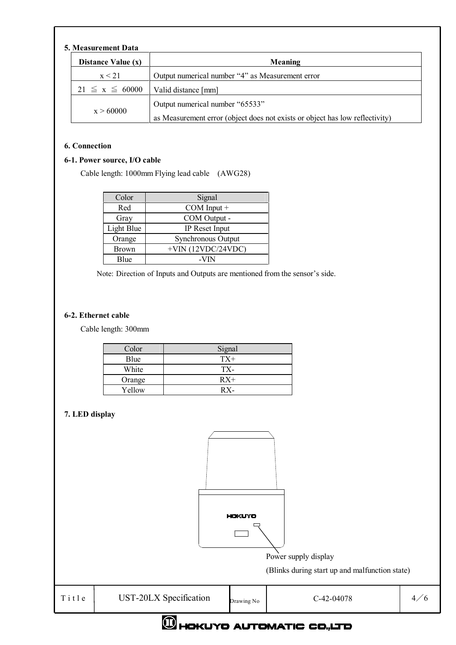### **5. Measurement Data**

| -Nieasurement Data   |                                                                              |  |
|----------------------|------------------------------------------------------------------------------|--|
| Distance Value (x)   | Meaning                                                                      |  |
| x < 21               | Output numerical number "4" as Measurement error                             |  |
| $21 \le x \le 60000$ | Valid distance [mm]                                                          |  |
| x > 60000            | Output numerical number "65533"                                              |  |
|                      | as Measurement error (object does not exists or object has low reflectivity) |  |

#### **6. Connection**

#### **6-1. Power source, I/O cable**

Cable length: 1000mm Flying lead cable (AWG28)

| Color        | Signal                    |
|--------------|---------------------------|
| Red          | COM Input +               |
| Gray         | COM Output -              |
| Light Blue   | IP Reset Input            |
| Orange       | <b>Synchronous Output</b> |
| <b>Brown</b> | $+$ VIN (12VDC/24VDC)     |
| Blue         | -VIN                      |

Note: Direction of Inputs and Outputs are mentioned from the sensor's side.

#### **6-2. Ethernet cable**

Cable length: 300mm

| Color  | Signal |
|--------|--------|
| Blue   | $TX+$  |
| White  | TX-    |
| Orange | $RX+$  |
| Yellow | $RX -$ |

#### **7. LED display**



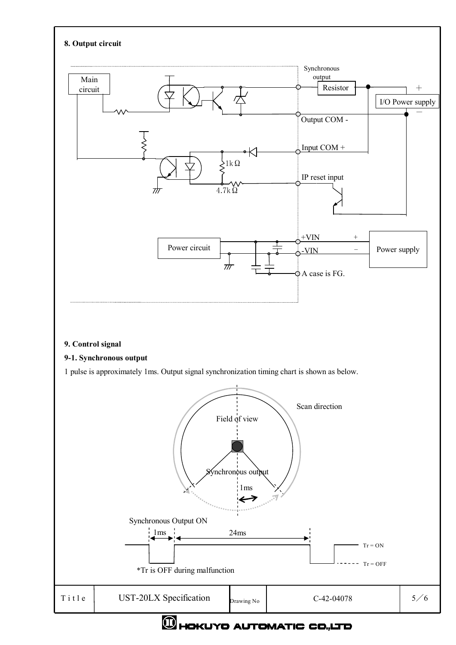

## **OHOKUYO AUTOMATIC CO.,LTD**